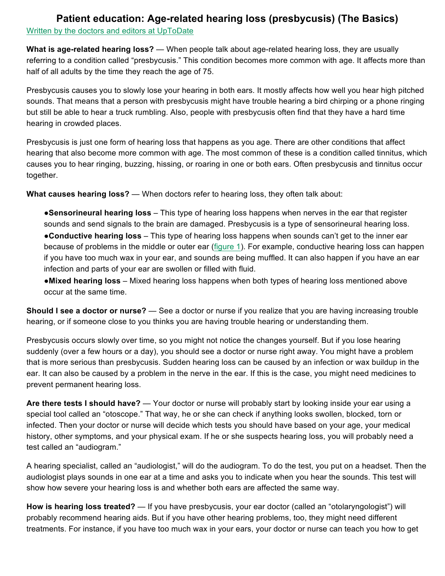## **Patient education: Age-related hearing loss (presbycusis) (The Basics)**

Written by the doctors and editors at UpToDate

**What is age-related hearing loss?** — When people talk about age-related hearing loss, they are usually referring to a condition called "presbycusis." This condition becomes more common with age. It affects more than half of all adults by the time they reach the age of 75.

Presbycusis causes you to slowly lose your hearing in both ears. It mostly affects how well you hear high pitched sounds. That means that a person with presbycusis might have trouble hearing a bird chirping or a phone ringing but still be able to hear a truck rumbling. Also, people with presbycusis often find that they have a hard time hearing in crowded places.

Presbycusis is just one form of hearing loss that happens as you age. There are other conditions that affect hearing that also become more common with age. The most common of these is a condition called tinnitus, which causes you to hear ringing, buzzing, hissing, or roaring in one or both ears. Often presbycusis and tinnitus occur together.

**What causes hearing loss?** — When doctors refer to hearing loss, they often talk about:

●**Sensorineural hearing loss** – This type of hearing loss happens when nerves in the ear that register sounds and send signals to the brain are damaged. Presbycusis is a type of sensorineural hearing loss. ●**Conductive hearing loss** – This type of hearing loss happens when sounds can't get to the inner ear because of problems in the middle or outer ear (figure 1). For example, conductive hearing loss can happen if you have too much wax in your ear, and sounds are being muffled. It can also happen if you have an ear infection and parts of your ear are swollen or filled with fluid.

●**Mixed hearing loss** – Mixed hearing loss happens when both types of hearing loss mentioned above occur at the same time.

**Should I see a doctor or nurse?** — See a doctor or nurse if you realize that you are having increasing trouble hearing, or if someone close to you thinks you are having trouble hearing or understanding them.

Presbycusis occurs slowly over time, so you might not notice the changes yourself. But if you lose hearing suddenly (over a few hours or a day), you should see a doctor or nurse right away. You might have a problem that is more serious than presbycusis. Sudden hearing loss can be caused by an infection or wax buildup in the ear. It can also be caused by a problem in the nerve in the ear. If this is the case, you might need medicines to prevent permanent hearing loss.

**Are there tests I should have?** — Your doctor or nurse will probably start by looking inside your ear using a special tool called an "otoscope." That way, he or she can check if anything looks swollen, blocked, torn or infected. Then your doctor or nurse will decide which tests you should have based on your age, your medical history, other symptoms, and your physical exam. If he or she suspects hearing loss, you will probably need a test called an "audiogram."

A hearing specialist, called an "audiologist," will do the audiogram. To do the test, you put on a headset. Then the audiologist plays sounds in one ear at a time and asks you to indicate when you hear the sounds. This test will show how severe your hearing loss is and whether both ears are affected the same way.

**How is hearing loss treated?** — If you have presbycusis, your ear doctor (called an "otolaryngologist") will probably recommend hearing aids. But if you have other hearing problems, too, they might need different treatments. For instance, if you have too much wax in your ears, your doctor or nurse can teach you how to get